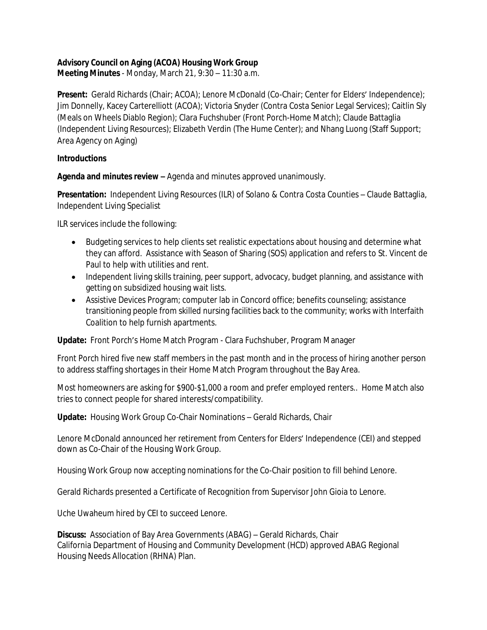## **Advisory Council on Aging (ACOA) Housing Work Group**

**Meeting Minutes** - Monday, March 21, 9:30 – 11:30 a.m.

**Present:** Gerald Richards (Chair; ACOA); Lenore McDonald (Co-Chair; Center for Elders' Independence); Jim Donnelly, Kacey Carterelliott (ACOA); Victoria Snyder (Contra Costa Senior Legal Services); Caitlin Sly (Meals on Wheels Diablo Region); Clara Fuchshuber (Front Porch-Home Match); Claude Battaglia (Independent Living Resources); Elizabeth Verdin (The Hume Center); and Nhang Luong (Staff Support; Area Agency on Aging)

#### **Introductions**

**Agenda and minutes review –** Agenda and minutes approved unanimously.

**Presentation:** Independent Living Resources (ILR) of Solano & Contra Costa Counties – Claude Battaglia, Independent Living Specialist

ILR services include the following:

- Budgeting services to help clients set realistic expectations about housing and determine what they can afford. Assistance with Season of Sharing (SOS) application and refers to St. Vincent de Paul to help with utilities and rent.
- Independent living skills training, peer support, advocacy, budget planning, and assistance with getting on subsidized housing wait lists.
- Assistive Devices Program; computer lab in Concord office; benefits counseling; assistance transitioning people from skilled nursing facilities back to the community; works with Interfaith Coalition to help furnish apartments.

**Update:** Front Porch's Home Match Program - Clara Fuchshuber, Program Manager

Front Porch hired five new staff members in the past month and in the process of hiring another person to address staffing shortages in their Home Match Program throughout the Bay Area.

Most homeowners are asking for \$900-\$1,000 a room and prefer employed renters.. Home Match also tries to connect people for shared interests/compatibility.

**Update:** Housing Work Group Co-Chair Nominations – Gerald Richards, Chair

Lenore McDonald announced her retirement from Centers for Elders' Independence (CEI) and stepped down as Co-Chair of the Housing Work Group.

Housing Work Group now accepting nominations for the Co-Chair position to fill behind Lenore.

Gerald Richards presented a Certificate of Recognition from Supervisor John Gioia to Lenore.

Uche Uwaheum hired by CEI to succeed Lenore.

**Discuss:** Association of Bay Area Governments (ABAG) – Gerald Richards, Chair California Department of Housing and Community Development (HCD) approved ABAG Regional Housing Needs Allocation (RHNA) Plan.